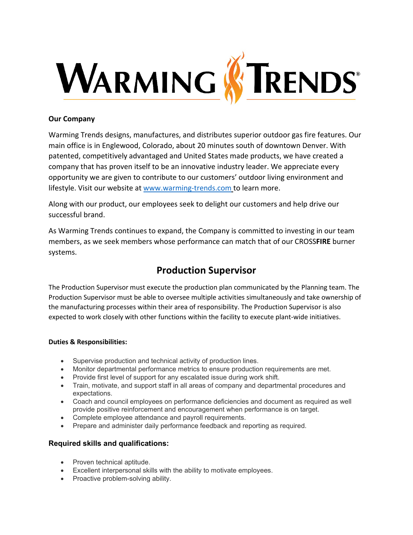

## **Our Company**

Warming Trends designs, manufactures, and distributes superior outdoor gas fire features. Our main office is in Englewood, Colorado, about 20 minutes south of downtown Denver. With patented, competitively advantaged and United States made products, we have created a company that has proven itself to be an innovative industry leader. We appreciate every opportunity we are given to contribute to our customers' outdoor living environment and lifestyle. Visit our website at [www.warming-trends.com](http://www.warming-trends.com/) to learn more.

Along with our product, our employees seek to delight our customers and help drive our successful brand.

As Warming Trends continues to expand, the Company is committed to investing in our team members, as we seek members whose performance can match that of our CROSS**FIRE** burner systems.

# **Production Supervisor**

The Production Supervisor must execute the production plan communicated by the Planning team. The Production Supervisor must be able to oversee multiple activities simultaneously and take ownership of the manufacturing processes within their area of responsibility. The Production Supervisor is also expected to work closely with other functions within the facility to execute plant-wide initiatives.

### **Duties & Responsibilities:**

- Supervise production and technical activity of production lines.
- Monitor departmental performance metrics to ensure production requirements are met.
- Provide first level of support for any escalated issue during work shift.
- Train, motivate, and support staff in all areas of company and departmental procedures and expectations.
- Coach and council employees on performance deficiencies and document as required as well provide positive reinforcement and encouragement when performance is on target.
- Complete employee attendance and payroll requirements.
- Prepare and administer daily performance feedback and reporting as required.

# **Required skills and qualifications:**

- Proven technical aptitude.
- Excellent interpersonal skills with the ability to motivate employees.
- Proactive problem-solving ability.